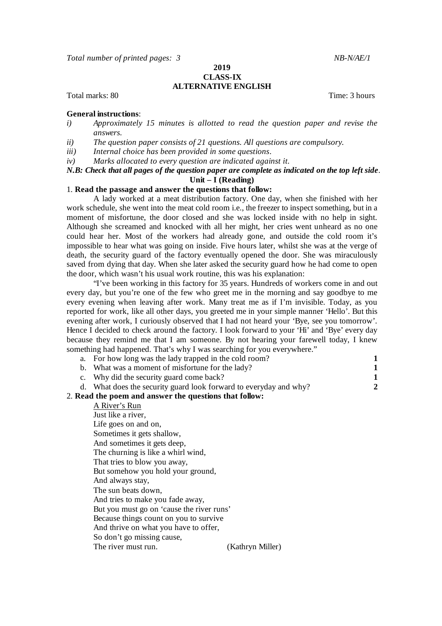*Total number of printed pages: 3 NB-N/AE/1*

**2019**

## **CLASS-IX ALTERNATIVE ENGLISH**

Total marks: 80 Time: 3 hours

## **General instructions**:

- *i) Approximately 15 minutes is allotted to read the question paper and revise the answers.*
- *ii) The question paper consists of 21 questions. All questions are compulsory.*
- *iii) Internal choice has been provided in some questions*.
- *iv) Marks allocated to every question are indicated against it.*

## *N.B: Check that all pages of the question paper are complete as indicated on the top left side*. **Unit – I (Reading)**

## 1. **Read the passage and answer the questions that follow:**

A lady worked at a meat distribution factory. One day, when she finished with her work schedule, she went into the meat cold room i.e., the freezer to inspect something, but in a moment of misfortune, the door closed and she was locked inside with no help in sight. Although she screamed and knocked with all her might, her cries went unheard as no one could hear her. Most of the workers had already gone, and outside the cold room it's impossible to hear what was going on inside. Five hours later, whilst she was at the verge of death, the security guard of the factory eventually opened the door. She was miraculously saved from dying that day. When she later asked the security guard how he had come to open the door, which wasn't his usual work routine, this was his explanation:

"I've been working in this factory for 35 years. Hundreds of workers come in and out every day, but you're one of the few who greet me in the morning and say goodbye to me every evening when leaving after work. Many treat me as if I'm invisible. Today, as you reported for work, like all other days, you greeted me in your simple manner 'Hello'. But this evening after work, I curiously observed that I had not heard your 'Bye, see you tomorrow'. Hence I decided to check around the factory. I look forward to your 'Hi' and 'Bye' every day because they remind me that I am someone. By not hearing your farewell today, I knew something had happened. That's why I was searching for you everywhere."

|                                                        | something nau nappelleu. That s why I was searching for you everywhere. |   |  |  |
|--------------------------------------------------------|-------------------------------------------------------------------------|---|--|--|
|                                                        | a. For how long was the lady trapped in the cold room?                  |   |  |  |
|                                                        | b. What was a moment of misfortune for the lady?                        |   |  |  |
| $C_{\bullet}$                                          | Why did the security guard come back?                                   |   |  |  |
| d.                                                     | What does the security guard look forward to everyday and why?          | 2 |  |  |
| 2. Read the poem and answer the questions that follow: |                                                                         |   |  |  |
|                                                        | A River's Run                                                           |   |  |  |
|                                                        | Just like a river,                                                      |   |  |  |
|                                                        | Life goes on and on,                                                    |   |  |  |
|                                                        | Sometimes it gets shallow,                                              |   |  |  |
|                                                        | And sometimes it gets deep,                                             |   |  |  |
|                                                        | The churning is like a whirl wind,                                      |   |  |  |
|                                                        | That tries to blow you away,                                            |   |  |  |
|                                                        | But somehow you hold your ground,                                       |   |  |  |
|                                                        | And always stay,                                                        |   |  |  |
|                                                        | The sun beats down,                                                     |   |  |  |
|                                                        | And tries to make you fade away,                                        |   |  |  |
|                                                        | But you must go on 'cause the river runs'                               |   |  |  |
|                                                        | Because things count on you to survive                                  |   |  |  |
|                                                        | And thrive on what you have to offer,                                   |   |  |  |
|                                                        |                                                                         |   |  |  |

So don't go missing cause,

The river must run. (Kathryn Miller)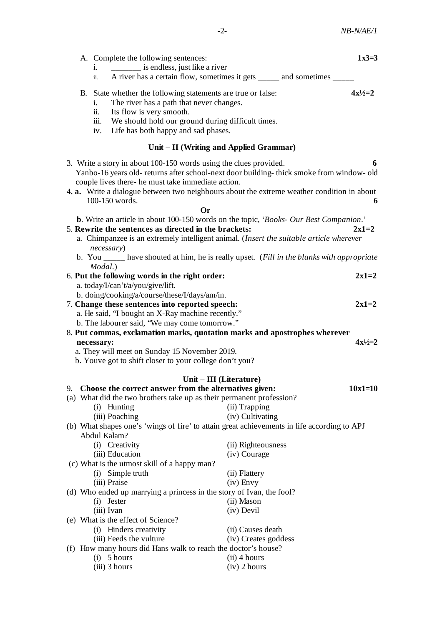|                                                                                                             | i.                                              | A. Complete the following sentences:<br>_______ is endless, just like a river                                                                                                                                                                                                                                                            |                                  | $1x3=3$        |  |  |  |
|-------------------------------------------------------------------------------------------------------------|-------------------------------------------------|------------------------------------------------------------------------------------------------------------------------------------------------------------------------------------------------------------------------------------------------------------------------------------------------------------------------------------------|----------------------------------|----------------|--|--|--|
|                                                                                                             | ii.                                             | A river has a certain flow, sometimes it gets _____ and sometimes ____                                                                                                                                                                                                                                                                   |                                  |                |  |  |  |
|                                                                                                             | 1.<br>ii.<br>iii.                               | B. State whether the following statements are true or false:<br>The river has a path that never changes.<br>Its flow is very smooth.<br>We should hold our ground during difficult times.                                                                                                                                                |                                  | $4x^{1/2} = 2$ |  |  |  |
|                                                                                                             | iv.                                             | Life has both happy and sad phases.                                                                                                                                                                                                                                                                                                      |                                  |                |  |  |  |
| Unit – II (Writing and Applied Grammar)                                                                     |                                                 |                                                                                                                                                                                                                                                                                                                                          |                                  |                |  |  |  |
|                                                                                                             |                                                 | 3. Write a story in about 100-150 words using the clues provided.<br>Yanbo-16 years old- returns after school-next door building-thick smoke from window- old<br>couple lives there- he must take immediate action.<br>4. a. Write a dialogue between two neighbours about the extreme weather condition in about<br>100-150 words.      |                                  | 6<br>6         |  |  |  |
|                                                                                                             |                                                 | <b>Or</b>                                                                                                                                                                                                                                                                                                                                |                                  |                |  |  |  |
|                                                                                                             | necessary)                                      | b. Write an article in about 100-150 words on the topic, 'Books- Our Best Companion.'<br>5. Rewrite the sentences as directed in the brackets:<br>a. Chimpanzee is an extremely intelligent animal. (Insert the suitable article wherever<br>b. You ______ have shouted at him, he is really upset. (Fill in the blanks with appropriate |                                  | $2x1=2$        |  |  |  |
|                                                                                                             | Modal.)                                         | 6. Put the following words in the right order:                                                                                                                                                                                                                                                                                           |                                  | $2x1=2$        |  |  |  |
|                                                                                                             |                                                 | a. today/I/can't/a/you/give/lift.                                                                                                                                                                                                                                                                                                        |                                  |                |  |  |  |
|                                                                                                             |                                                 | b. doing/cooking/a/course/these/I/days/am/in.                                                                                                                                                                                                                                                                                            |                                  |                |  |  |  |
|                                                                                                             |                                                 | 7. Change these sentences into reported speech:                                                                                                                                                                                                                                                                                          |                                  | $2x1=2$        |  |  |  |
| a. He said, 'I bought an X-Ray machine recently."<br>b. The labourer said, "We may come tomorrow."          |                                                 |                                                                                                                                                                                                                                                                                                                                          |                                  |                |  |  |  |
|                                                                                                             |                                                 | 8. Put commas, exclamation marks, quotation marks and apostrophes wherever                                                                                                                                                                                                                                                               |                                  |                |  |  |  |
|                                                                                                             | necessary:                                      |                                                                                                                                                                                                                                                                                                                                          |                                  | $4x^{1/2}2$    |  |  |  |
|                                                                                                             |                                                 | a. They will meet on Sunday 15 November 2019.                                                                                                                                                                                                                                                                                            |                                  |                |  |  |  |
|                                                                                                             |                                                 | b. Youve got to shift closer to your college don't you?                                                                                                                                                                                                                                                                                  |                                  |                |  |  |  |
|                                                                                                             |                                                 | Unit – III (Literature)                                                                                                                                                                                                                                                                                                                  |                                  |                |  |  |  |
| 9.                                                                                                          |                                                 | Choose the correct answer from the alternatives given:                                                                                                                                                                                                                                                                                   |                                  | $10x1=10$      |  |  |  |
|                                                                                                             |                                                 | (a) What did the two brothers take up as their permanent profession?                                                                                                                                                                                                                                                                     |                                  |                |  |  |  |
|                                                                                                             |                                                 | (i) Hunting                                                                                                                                                                                                                                                                                                                              | (ii) Trapping                    |                |  |  |  |
|                                                                                                             | (iv) Cultivating<br>(iii) Poaching              |                                                                                                                                                                                                                                                                                                                                          |                                  |                |  |  |  |
| (b) What shapes one's 'wings of fire' to attain great achievements in life according to APJ<br>Abdul Kalam? |                                                 |                                                                                                                                                                                                                                                                                                                                          |                                  |                |  |  |  |
|                                                                                                             |                                                 | (i) Creativity                                                                                                                                                                                                                                                                                                                           | (ii) Righteousness               |                |  |  |  |
|                                                                                                             |                                                 | (iii) Education                                                                                                                                                                                                                                                                                                                          | (iv) Courage                     |                |  |  |  |
|                                                                                                             |                                                 | (c) What is the utmost skill of a happy man?                                                                                                                                                                                                                                                                                             |                                  |                |  |  |  |
|                                                                                                             |                                                 | (i) Simple truth                                                                                                                                                                                                                                                                                                                         | (ii) Flattery                    |                |  |  |  |
|                                                                                                             |                                                 | (iii) Praise                                                                                                                                                                                                                                                                                                                             | $(iv)$ Envy                      |                |  |  |  |
|                                                                                                             |                                                 | (d) Who ended up marrying a princess in the story of Ivan, the fool?<br>(i) Jester                                                                                                                                                                                                                                                       | (ii) Mason                       |                |  |  |  |
|                                                                                                             | (iii) Ivan                                      |                                                                                                                                                                                                                                                                                                                                          | (iv) Devil                       |                |  |  |  |
|                                                                                                             |                                                 | (e) What is the effect of Science?                                                                                                                                                                                                                                                                                                       |                                  |                |  |  |  |
|                                                                                                             |                                                 | (i) Hinders creativity                                                                                                                                                                                                                                                                                                                   | (ii) Causes death                |                |  |  |  |
|                                                                                                             | (iii) Feeds the vulture<br>(iv) Creates goddess |                                                                                                                                                                                                                                                                                                                                          |                                  |                |  |  |  |
|                                                                                                             |                                                 | (f) How many hours did Hans walk to reach the doctor's house?                                                                                                                                                                                                                                                                            |                                  |                |  |  |  |
|                                                                                                             |                                                 | $(i)$ 5 hours<br>$(iii)$ 3 hours                                                                                                                                                                                                                                                                                                         | $(ii)$ 4 hours<br>$(iv)$ 2 hours |                |  |  |  |
|                                                                                                             |                                                 |                                                                                                                                                                                                                                                                                                                                          |                                  |                |  |  |  |